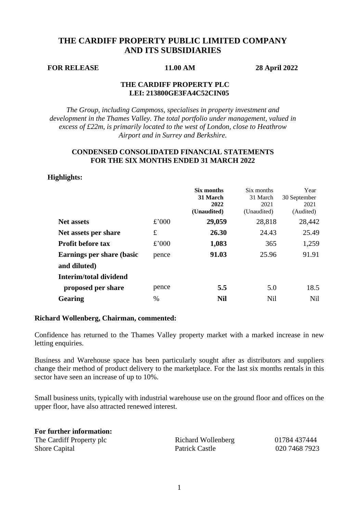# **THE CARDIFF PROPERTY PUBLIC LIMITED COMPANY AND ITS SUBSIDIARIES**

## **FOR RELEASE 11.00 AM 28 April 2022**

## **THE CARDIFF PROPERTY PLC LEI: 213800GE3FA4C52CIN05**

*The Group, including Campmoss, specialises in property investment and development in the Thames Valley. The total portfolio under management, valued in excess of £22m, is primarily located to the west of London, close to Heathrow Airport and in Surrey and Berkshire.*

# **CONDENSED CONSOLIDATED FINANCIAL STATEMENTS FOR THE SIX MONTHS ENDED 31 MARCH 2022**

# **Highlights:**

|                                  |       | Six months<br>31 March<br>2022<br>(Unaudited) | Six months<br>31 March<br>2021<br>(Unaudited) | Year<br>30 September<br>2021<br>(Audited) |
|----------------------------------|-------|-----------------------------------------------|-----------------------------------------------|-------------------------------------------|
| <b>Net assets</b>                | £'000 | 29,059                                        | 28,818                                        | 28,442                                    |
| Net assets per share             | £     | 26.30                                         | 24.43                                         | 25.49                                     |
| <b>Profit before tax</b>         | £'000 | 1,083                                         | 365                                           | 1,259                                     |
| <b>Earnings per share (basic</b> | pence | 91.03                                         | 25.96                                         | 91.91                                     |
| and diluted)                     |       |                                               |                                               |                                           |
| Interim/total dividend           |       |                                               |                                               |                                           |
| proposed per share               | pence | 5.5                                           | 5.0                                           | 18.5                                      |
| Gearing                          | $\%$  | <b>Nil</b>                                    | <b>Nil</b>                                    | <b>Nil</b>                                |

### **Richard Wollenberg, Chairman, commented:**

Confidence has returned to the Thames Valley property market with a marked increase in new letting enquiries.

Business and Warehouse space has been particularly sought after as distributors and suppliers change their method of product delivery to the marketplace. For the last six months rentals in this sector have seen an increase of up to 10%.

Small business units, typically with industrial warehouse use on the ground floor and offices on the upper floor, have also attracted renewed interest.

| For further information: |                    |
|--------------------------|--------------------|
| The Cardiff Property plc | Richard Wollenberg |
| <b>Shore Capital</b>     | Patrick Castle     |

01784 437444 020 7468 7923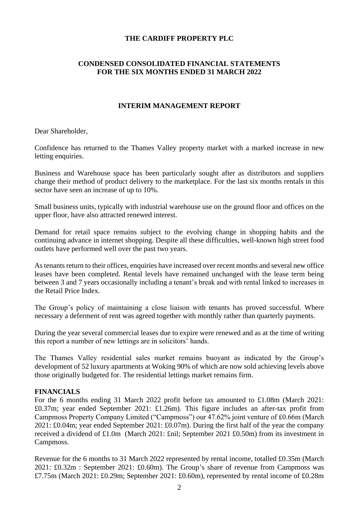# **THE CARDIFF PROPERTY PLC**

# **CONDENSED CONSOLIDATED FINANCIAL STATEMENTS FOR THE SIX MONTHS ENDED 31 MARCH 2022**

# **INTERIM MANAGEMENT REPORT**

Dear Shareholder,

Confidence has returned to the Thames Valley property market with a marked increase in new letting enquiries.

Business and Warehouse space has been particularly sought after as distributors and suppliers change their method of product delivery to the marketplace. For the last six months rentals in this sector have seen an increase of up to 10%.

Small business units, typically with industrial warehouse use on the ground floor and offices on the upper floor, have also attracted renewed interest.

Demand for retail space remains subject to the evolving change in shopping habits and the continuing advance in internet shopping. Despite all these difficulties, well-known high street food outlets have performed well over the past two years.

As tenants return to their offices, enquiries have increased over recent months and several new office leases have been completed. Rental levels have remained unchanged with the lease term being between 3 and 7 years occasionally including a tenant's break and with rental linked to increases in the Retail Price Index.

The Group's policy of maintaining a close liaison with tenants has proved successful. Where necessary a deferment of rent was agreed together with monthly rather than quarterly payments.

During the year several commercial leases due to expire were renewed and as at the time of writing this report a number of new lettings are in solicitors' hands.

The Thames Valley residential sales market remains buoyant as indicated by the Group's development of 52 luxury apartments at Woking 90% of which are now sold achieving levels above those originally budgeted for. The residential lettings market remains firm.

# **FINANCIALS**

For the 6 months ending 31 March 2022 profit before tax amounted to £1.08m (March 2021: £0.37m; year ended September 2021: £1.26m). This figure includes an after-tax profit from Campmoss Property Company Limited ("Campmoss") our 47.62% joint venture of £0.66m (March 2021: £0.04m; year ended September 2021: £0.07m). During the first half of the year the company received a dividend of £1.0m (March 2021: £nil; September 2021 £0.50m) from its investment in Campmoss.

Revenue for the 6 months to 31 March 2022 represented by rental income, totalled £0.35m (March 2021: £0.32m : September 2021: £0.60m). The Group's share of revenue from Campmoss was £7.75m (March 2021: £0.29m; September 2021: £0.60m), represented by rental income of £0.28m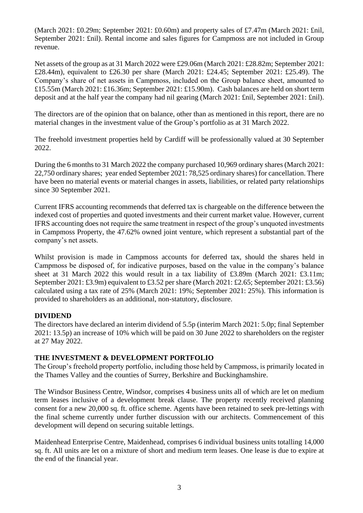(March 2021: £0.29m; September 2021: £0.60m) and property sales of £7.47m (March 2021: £nil, September 2021: £nil). Rental income and sales figures for Campmoss are not included in Group revenue.

Net assets of the group as at 31 March 2022 were £29.06m (March 2021: £28.82m; September 2021: £28.44m), equivalent to £26.30 per share (March 2021: £24.45; September 2021: £25.49). The Company's share of net assets in Campmoss, included on the Group balance sheet, amounted to £15.55m (March 2021: £16.36m; September 2021: £15.90m). Cash balances are held on short term deposit and at the half year the company had nil gearing (March 2021: £nil, September 2021: £nil).

The directors are of the opinion that on balance, other than as mentioned in this report, there are no material changes in the investment value of the Group's portfolio as at 31 March 2022.

The freehold investment properties held by Cardiff will be professionally valued at 30 September 2022.

During the 6 months to 31 March 2022 the company purchased 10,969 ordinary shares (March 2021: 22,750 ordinary shares; year ended September 2021: 78,525 ordinary shares) for cancellation. There have been no material events or material changes in assets, liabilities, or related party relationships since 30 September 2021.

Current IFRS accounting recommends that deferred tax is chargeable on the difference between the indexed cost of properties and quoted investments and their current market value. However, current IFRS accounting does not require the same treatment in respect of the group's unquoted investments in Campmoss Property, the 47.62% owned joint venture, which represent a substantial part of the company's net assets.

Whilst provision is made in Campmoss accounts for deferred tax, should the shares held in Campmoss be disposed of, for indicative purposes, based on the value in the company's balance sheet at 31 March 2022 this would result in a tax liability of £3.89m (March 2021: £3.11m; September 2021: £3.9m) equivalent to £3.52 per share (March 2021: £2.65; September 2021: £3.56) calculated using a tax rate of 25% (March 2021: 19%; September 2021: 25%). This information is provided to shareholders as an additional, non-statutory, disclosure.

# **DIVIDEND**

The directors have declared an interim dividend of 5.5p (interim March 2021: 5.0p; final September 2021: 13.5p) an increase of 10% which will be paid on 30 June 2022 to shareholders on the register at 27 May 2022.

# **THE INVESTMENT & DEVELOPMENT PORTFOLIO**

The Group's freehold property portfolio, including those held by Campmoss, is primarily located in the Thames Valley and the counties of Surrey, Berkshire and Buckinghamshire.

The Windsor Business Centre, Windsor, comprises 4 business units all of which are let on medium term leases inclusive of a development break clause. The property recently received planning consent for a new 20,000 sq. ft. office scheme. Agents have been retained to seek pre-lettings with the final scheme currently under further discussion with our architects. Commencement of this development will depend on securing suitable lettings.

Maidenhead Enterprise Centre, Maidenhead, comprises 6 individual business units totalling 14,000 sq. ft. All units are let on a mixture of short and medium term leases. One lease is due to expire at the end of the financial year.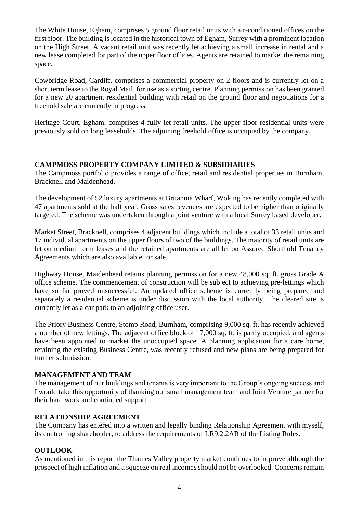The White House, Egham, comprises 5 ground floor retail units with air-conditioned offices on the first floor. The building is located in the historical town of Egham, Surrey with a prominent location on the High Street. A vacant retail unit was recently let achieving a small increase in rental and a new lease completed for part of the upper floor offices. Agents are retained to market the remaining space.

Cowbridge Road, Cardiff, comprises a commercial property on 2 floors and is currently let on a short term lease to the Royal Mail, for use as a sorting centre. Planning permission has been granted for a new 20 apartment residential building with retail on the ground floor and negotiations for a freehold sale are currently in progress.

Heritage Court, Egham, comprises 4 fully let retail units. The upper floor residential units were previously sold on long leaseholds. The adjoining freehold office is occupied by the company.

# **CAMPMOSS PROPERTY COMPANY LIMITED & SUBSIDIARIES**

The Campmoss portfolio provides a range of office, retail and residential properties in Burnham, Bracknell and Maidenhead.

The development of 52 luxury apartments at Britannia Wharf, Woking has recently completed with 47 apartments sold at the half year. Gross sales revenues are expected to be higher than originally targeted. The scheme was undertaken through a joint venture with a local Surrey based developer.

Market Street, Bracknell, comprises 4 adjacent buildings which include a total of 33 retail units and 17 individual apartments on the upper floors of two of the buildings. The majority of retail units are let on medium term leases and the retained apartments are all let on Assured Shorthold Tenancy Agreements which are also available for sale.

Highway House, Maidenhead retains planning permission for a new 48,000 sq. ft. gross Grade A office scheme. The commencement of construction will be subject to achieving pre-lettings which have so far proved unsuccessful. An updated office scheme is currently being prepared and separately a residential scheme is under discussion with the local authority. The cleared site is currently let as a car park to an adjoining office user.

The Priory Business Centre, Stomp Road, Burnham, comprising 9,000 sq. ft. has recently achieved a number of new lettings. The adjacent office block of 17,000 sq. ft. is partly occupied, and agents have been appointed to market the unoccupied space. A planning application for a care home, retaining the existing Business Centre, was recently refused and new plans are being prepared for further submission.

# **MANAGEMENT AND TEAM**

The management of our buildings and tenants is very important to the Group's ongoing success and I would take this opportunity of thanking our small management team and Joint Venture partner for their hard work and continued support.

# **RELATIONSHIP AGREEMENT**

The Company has entered into a written and legally binding Relationship Agreement with myself, its controlling shareholder, to address the requirements of LR9.2.2AR of the Listing Rules.

# **OUTLOOK**

As mentioned in this report the Thames Valley property market continues to improve although the prospect of high inflation and a squeeze on real incomes should not be overlooked. Concerns remain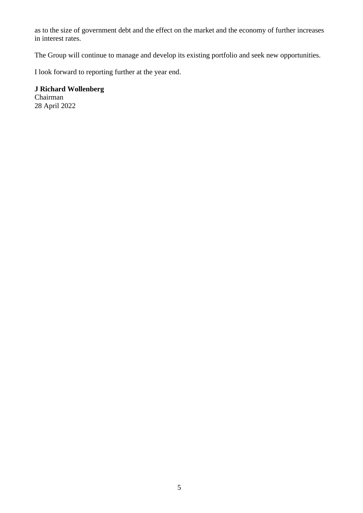as to the size of government debt and the effect on the market and the economy of further increases in interest rates.

The Group will continue to manage and develop its existing portfolio and seek new opportunities.

I look forward to reporting further at the year end.

**J Richard Wollenberg** Chairman 28 April 2022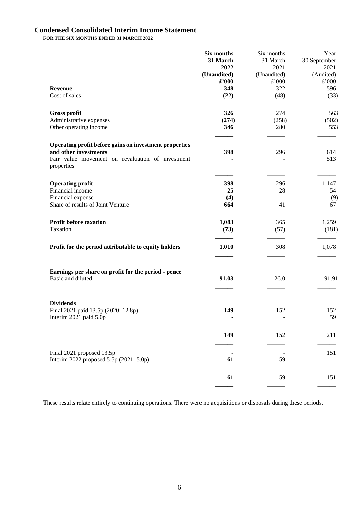# **Condensed Consolidated Interim Income Statement**

**FOR THE SIX MONTHS ENDED 31 MARCH 2022**

|                                                                      | Six months  | Six months  | Year         |
|----------------------------------------------------------------------|-------------|-------------|--------------|
|                                                                      | 31 March    | 31 March    | 30 September |
|                                                                      | 2022        | 2021        | 2021         |
|                                                                      | (Unaudited) | (Unaudited) | (Audited)    |
|                                                                      | £'000       | £'000       | £'000        |
| <b>Revenue</b>                                                       | 348         | 322         | 596          |
| Cost of sales                                                        | (22)        | (48)        | (33)         |
| <b>Gross profit</b>                                                  | 326         | 274         | 563          |
| Administrative expenses                                              | (274)       | (258)       | (502)        |
| Other operating income                                               | 346         | 280         | 553          |
| Operating profit before gains on investment properties               |             |             |              |
| and other investments                                                | 398         | 296         | 614          |
| Fair value movement on revaluation of investment<br>properties       |             |             | 513          |
| <b>Operating profit</b>                                              | 398         | 296         | 1,147        |
| Financial income                                                     | 25          | 28          | 54           |
| Financial expense                                                    | (4)         |             | (9)          |
| Share of results of Joint Venture                                    | 664         | 41          | 67           |
| <b>Profit before taxation</b>                                        | 1,083       | 365         | 1,259        |
| Taxation                                                             | (73)        | (57)        | (181)        |
| Profit for the period attributable to equity holders                 | 1,010       | 308         | 1,078        |
| Earnings per share on profit for the period - pence                  |             |             |              |
| Basic and diluted                                                    | 91.03       | 26.0        | 91.91        |
| <b>Dividends</b>                                                     |             |             |              |
| Final 2021 paid 13.5p (2020: 12.8p)                                  | 149         | 152         | 152          |
| Interim 2021 paid 5.0p                                               |             | ÷           | 59           |
|                                                                      | 149         | 152         | 211          |
|                                                                      |             |             |              |
| Final 2021 proposed 13.5p<br>Interim 2022 proposed 5.5p (2021: 5.0p) | 61          | 59          | 151          |
|                                                                      |             |             |              |
|                                                                      | 61          | 59          | 151          |
|                                                                      |             |             |              |

These results relate entirely to continuing operations. There were no acquisitions or disposals during these periods.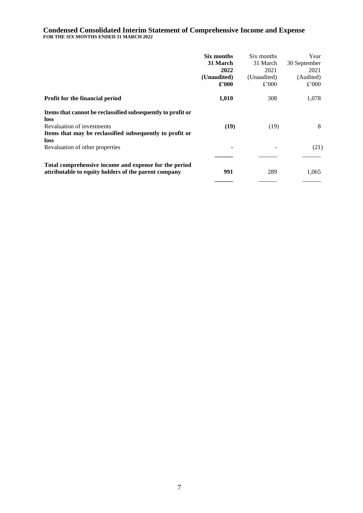### **Condensed Consolidated Interim Statement of Comprehensive Income and Expense FOR THE SIX MONTHS ENDED 31 MARCH 2022**

|                                                                                                                                                                       | Six months<br>31 March<br>2022<br>(Unaudited)<br>$\pounds 000$ | Six months<br>31 March<br>2021<br>(Unaudited)<br>£'000 | Year<br>30 September<br>2021<br>(Audited)<br>£'000 |
|-----------------------------------------------------------------------------------------------------------------------------------------------------------------------|----------------------------------------------------------------|--------------------------------------------------------|----------------------------------------------------|
| Profit for the financial period                                                                                                                                       | 1,010                                                          | 308                                                    | 1,078                                              |
| Items that cannot be reclassified subsequently to profit or<br>loss<br>Revaluation of investments<br>Items that may be reclassified subsequently to profit or<br>loss | (19)                                                           | (19)                                                   | 8                                                  |
| Revaluation of other properties                                                                                                                                       | ٠                                                              |                                                        | (21)                                               |
| Total comprehensive income and expense for the period<br>attributable to equity holders of the parent company                                                         | 991                                                            | 289                                                    | 1,065                                              |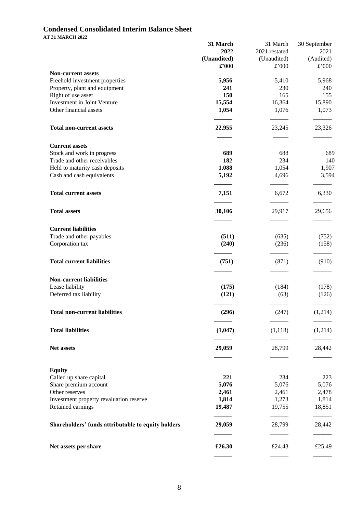# **Condensed Consolidated Interim Balance Sheet**

**AT 31 MARCH 2022**

|                                                    | 31 March    | 31 March      | 30 September   |
|----------------------------------------------------|-------------|---------------|----------------|
|                                                    | 2022        | 2021 restated | 2021           |
|                                                    | (Unaudited) | (Unaudited)   | (Audited)      |
| <b>Non-current assets</b>                          | £'000       | £'000         | $\pounds$ '000 |
| Freehold investment properties                     | 5,956       | 5,410         | 5,968          |
| Property, plant and equipment                      | 241         | 230           | 240            |
| Right of use asset                                 | 150         | 165           | 155            |
| Investment in Joint Venture                        | 15,554      | 16,364        | 15,890         |
| Other financial assets                             | 1,054       | 1,076         | 1,073          |
|                                                    |             |               |                |
| <b>Total non-current assets</b>                    | 22,955      | 23,245        | 23,326         |
|                                                    |             |               |                |
| <b>Current assets</b>                              |             |               |                |
| Stock and work in progress                         | 689         | 688           | 689            |
| Trade and other receivables                        | 182         | 234           | 140            |
| Held to maturity cash deposits                     | 1,088       | 1,054         | 1,907          |
| Cash and cash equivalents                          | 5,192       | 4,696         | 3,594          |
| <b>Total current assets</b>                        | 7,151       | 6,672         | 6,330          |
| <b>Total assets</b>                                | 30,106      | 29,917        | 29,656         |
| <b>Current liabilities</b>                         |             |               |                |
| Trade and other payables                           | (511)       | (635)         | (752)          |
| Corporation tax                                    | (240)       | (236)         | (158)          |
|                                                    |             |               |                |
| <b>Total current liabilities</b>                   | (751)       | (871)         | (910)          |
| <b>Non-current liabilities</b>                     |             |               |                |
| Lease liability                                    | (175)       | (184)         | (178)          |
| Deferred tax liability                             | (121)       | (63)          | (126)          |
| <b>Total non-current liabilities</b>               | (296)       | (247)         | (1,214)        |
| <b>Total liabilities</b>                           | (1,047)     | (1,118)       | (1,214)        |
|                                                    |             |               |                |
| Net assets                                         | 29,059      | 28,799        | 28,442         |
|                                                    |             |               |                |
| <b>Equity</b><br>Called up share capital           | 221         | 234           | 223            |
| Share premium account                              | 5,076       | 5,076         | 5,076          |
| Other reserves                                     | 2,461       | 2,461         | 2,478          |
| Investment property revaluation reserve            | 1,814       | 1,273         | 1,814          |
| Retained earnings                                  | 19,487      | 19,755        | 18,851         |
| Shareholders' funds attributable to equity holders | 29,059      | 28,799        | 28,442         |
| Net assets per share                               | £26.30      | £24.43        | £25.49         |
|                                                    |             |               |                |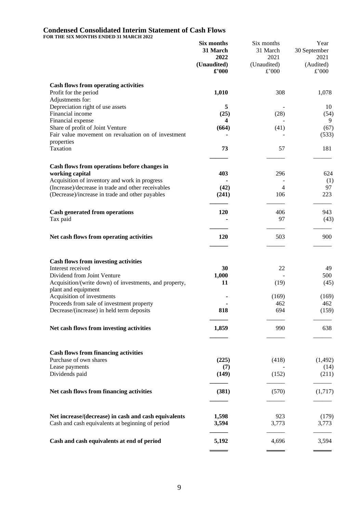### **Condensed Consolidated Interim Statement of Cash Flows**

**FOR THE SIX MONTHS ENDED 31 MARCH 2022**

|                                                                       | Six months                   | Six months                   | Year                       |  |
|-----------------------------------------------------------------------|------------------------------|------------------------------|----------------------------|--|
|                                                                       | 31 March                     | 31 March                     | 30 September               |  |
|                                                                       | 2022<br>(Unaudited)<br>£'000 | 2021<br>(Unaudited)<br>£'000 | 2021<br>(Audited)<br>£'000 |  |
| <b>Cash flows from operating activities</b>                           |                              |                              |                            |  |
| Profit for the period<br>Adjustments for:                             | 1,010                        | 308                          | 1,078                      |  |
| Depreciation right of use assets                                      | 5                            |                              | 10                         |  |
| Financial income                                                      | (25)                         | (28)                         | (54)                       |  |
| Financial expense                                                     | 4                            |                              | 9                          |  |
| Share of profit of Joint Venture                                      | (664)                        | (41)                         | (67)                       |  |
| Fair value movement on revaluation on of investment<br>properties     |                              |                              | (533)                      |  |
| Taxation                                                              | 73                           | 57                           | 181                        |  |
| Cash flows from operations before changes in                          |                              |                              |                            |  |
| working capital                                                       | 403                          | 296                          | 624                        |  |
| Acquisition of inventory and work in progress                         |                              |                              | (1)                        |  |
| (Increase)/decrease in trade and other receivables                    | (42)                         | 4                            | 97                         |  |
| (Decrease)/increase in trade and other payables                       | (241)                        | 106                          | 223                        |  |
| <b>Cash generated from operations</b>                                 | 120                          | 406                          | 943                        |  |
| Tax paid                                                              |                              | 97                           | (43)                       |  |
| Net cash flows from operating activities                              | 120                          | 503                          | 900                        |  |
|                                                                       |                              |                              |                            |  |
| <b>Cash flows from investing activities</b><br>Interest received      | 30                           | 22                           | 49                         |  |
| Dividend from Joint Venture                                           | 1,000                        |                              | 500                        |  |
| Acquisition/(write down) of investments, and property,                | 11                           | (19)                         | (45)                       |  |
| plant and equipment                                                   |                              |                              |                            |  |
| Acquisition of investments                                            |                              | (169)                        | (169)                      |  |
| Proceeds from sale of investment property                             |                              | 462                          | 462                        |  |
| Decrease/(increase) in held term deposits                             | 818                          | 694                          | (159)                      |  |
| Net cash flows from investing activities                              | 1,859                        | 990                          | 638                        |  |
|                                                                       |                              |                              |                            |  |
| <b>Cash flows from financing activities</b><br>Purchase of own shares |                              |                              |                            |  |
| Lease payments                                                        | (225)<br>(7)                 | (418)                        | (1, 492)<br>(14)           |  |
| Dividends paid                                                        | (149)                        | (152)                        | (211)                      |  |
| Net cash flows from financing activities                              | (381)                        | (570)                        | (1,717)                    |  |
|                                                                       |                              |                              |                            |  |
| Net increase/(decrease) in cash and cash equivalents                  | 1,598                        | 923                          | (179)                      |  |
| Cash and cash equivalents at beginning of period                      | 3,594                        | 3,773                        | 3,773                      |  |
| Cash and cash equivalents at end of period                            | 5,192                        | 4,696                        | 3,594                      |  |
|                                                                       |                              |                              |                            |  |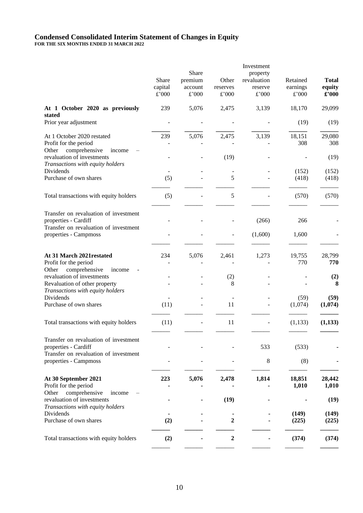# **Condensed Consolidated Interim Statement of Changes in Equity**

**FOR THE SIX MONTHS ENDED 31 MARCH 2022**

|                                                                                                                                     | Share<br>capital<br>$\pounds$ '000 | Share<br>premium<br>account<br>£'000 | Other<br>reserves<br>£'000 | Investment<br>property<br>revaluation<br>reserve<br>£'000 | Retained<br>earnings<br>£'000 | <b>Total</b><br>equity<br>£'000 |
|-------------------------------------------------------------------------------------------------------------------------------------|------------------------------------|--------------------------------------|----------------------------|-----------------------------------------------------------|-------------------------------|---------------------------------|
| At 1 October 2020 as previously<br>stated                                                                                           | 239                                | 5,076                                | 2,475                      | 3,139                                                     | 18,170                        | 29,099                          |
| Prior year adjustment                                                                                                               |                                    |                                      |                            |                                                           | (19)                          | (19)                            |
| At 1 October 2020 restated<br>Profit for the period<br>comprehensive<br>income                                                      | 239                                | 5,076                                | 2,475                      | 3,139                                                     | 18,151<br>308                 | 29,080<br>308                   |
| Other<br>revaluation of investments<br>Transactions with equity holders                                                             |                                    |                                      | (19)                       |                                                           |                               | (19)                            |
| Dividends<br>Purchase of own shares                                                                                                 | (5)                                |                                      | 5                          |                                                           | (152)<br>(418)                | (152)<br>(418)                  |
| Total transactions with equity holders                                                                                              | (5)                                |                                      | 5                          |                                                           | (570)                         | (570)                           |
| Transfer on revaluation of investment<br>properties - Cardiff<br>Transfer on revaluation of investment                              |                                    |                                      |                            | (266)                                                     | 266                           |                                 |
| properties - Campmoss                                                                                                               |                                    |                                      |                            | (1,600)                                                   | 1,600                         |                                 |
| At 31 March 2021 restated<br>Profit for the period                                                                                  | 234                                | 5,076                                | 2,461                      | 1,273                                                     | 19,755<br>770                 | 28,799<br>770                   |
| comprehensive<br>Other<br>income<br>revaluation of investments<br>Revaluation of other property<br>Transactions with equity holders |                                    |                                      | (2)<br>8                   |                                                           |                               | (2)<br>8                        |
| Dividends<br>Purchase of own shares                                                                                                 | (11)                               |                                      | 11                         |                                                           | (59)<br>(1,074)               | (59)<br>(1,074)                 |
| Total transactions with equity holders                                                                                              | (11)                               |                                      | 11                         |                                                           | (1, 133)                      | (1,133)                         |
| Transfer on revaluation of investment<br>properties - Cardiff<br>Transfer on revaluation of investment                              |                                    |                                      |                            | 533                                                       | (533)                         |                                 |
| properties - Campmoss                                                                                                               |                                    |                                      |                            | 8                                                         | (8)                           |                                 |
| At 30 September 2021<br>Profit for the period                                                                                       | 223                                | 5,076                                | 2,478                      | 1,814                                                     | 18,851<br>1,010               | 28,442<br>1,010                 |
| comprehensive<br>Other<br>income<br>revaluation of investments<br>Transactions with equity holders                                  |                                    |                                      | (19)                       |                                                           |                               | (19)                            |
| Dividends<br>Purchase of own shares                                                                                                 | (2)                                |                                      | 2                          |                                                           | (149)<br>(225)                | (149)<br>(225)                  |
| Total transactions with equity holders                                                                                              | (2)                                |                                      | $\boldsymbol{2}$           |                                                           | (374)                         | (374)                           |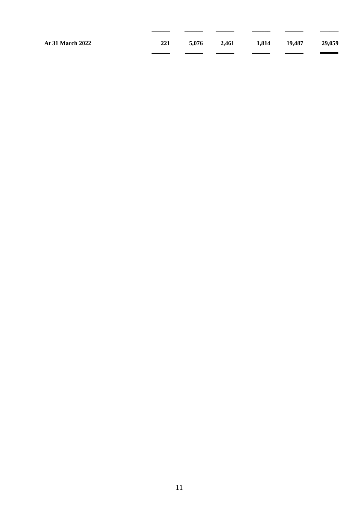**\_\_\_\_\_\_ \_\_\_\_\_\_ \_\_\_\_\_\_ \_\_\_\_\_\_ \_\_\_\_\_\_** \_\_\_\_\_\_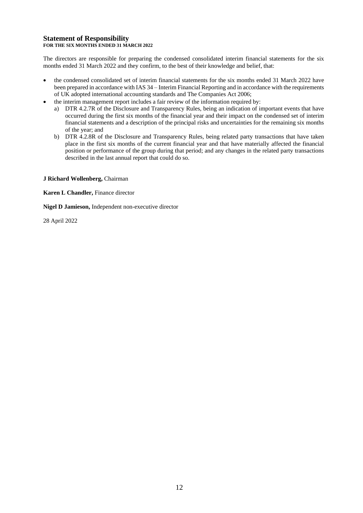### **Statement of Responsibility FOR THE SIX MONTHS ENDED 31 MARCH 2022**

The directors are responsible for preparing the condensed consolidated interim financial statements for the six months ended 31 March 2022 and they confirm, to the best of their knowledge and belief, that:

- the condensed consolidated set of interim financial statements for the six months ended 31 March 2022 have been prepared in accordance with IAS 34 – Interim Financial Reporting and in accordance with the requirements of UK adopted international accounting standards and The Companies Act 2006;
- the interim management report includes a fair review of the information required by:
	- a) DTR 4.2.7R of the Disclosure and Transparency Rules, being an indication of important events that have occurred during the first six months of the financial year and their impact on the condensed set of interim financial statements and a description of the principal risks and uncertainties for the remaining six months of the year; and
	- b) DTR 4.2.8R of the Disclosure and Transparency Rules, being related party transactions that have taken place in the first six months of the current financial year and that have materially affected the financial position or performance of the group during that period; and any changes in the related party transactions described in the last annual report that could do so.

### **J Richard Wollenberg,** Chairman

**Karen L Chandler,** Finance director

**Nigel D Jamieson,** Independent non-executive director

28 April 2022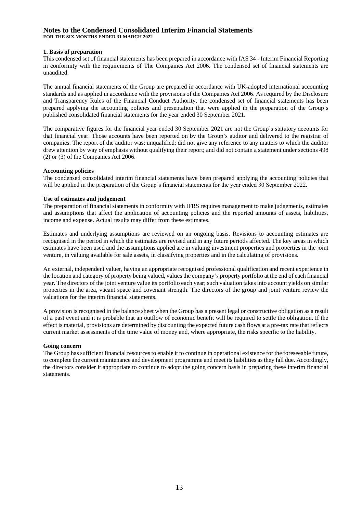### **Notes to the Condensed Consolidated Interim Financial Statements FOR THE SIX MONTHS ENDED 31 MARCH 2022**

### **1. Basis of preparation**

This condensed set of financial statements has been prepared in accordance with IAS 34 - Interim Financial Reporting in conformity with the requirements of The Companies Act 2006. The condensed set of financial statements are unaudited.

The annual financial statements of the Group are prepared in accordance with UK-adopted international accounting standards and as applied in accordance with the provisions of the Companies Act 2006. As required by the Disclosure and Transparency Rules of the Financial Conduct Authority, the condensed set of financial statements has been prepared applying the accounting policies and presentation that were applied in the preparation of the Group's published consolidated financial statements for the year ended 30 September 2021.

The comparative figures for the financial year ended 30 September 2021 are not the Group's statutory accounts for that financial year. Those accounts have been reported on by the Group's auditor and delivered to the registrar of companies. The report of the auditor was: unqualified; did not give any reference to any matters to which the auditor drew attention by way of emphasis without qualifying their report; and did not contain a statement under sections 498 (2) or (3) of the Companies Act 2006.

### **Accounting policies**

The condensed consolidated interim financial statements have been prepared applying the accounting policies that will be applied in the preparation of the Group's financial statements for the year ended 30 September 2022.

### **Use of estimates and judgement**

The preparation of financial statements in conformity with IFRS requires management to make judgements, estimates and assumptions that affect the application of accounting policies and the reported amounts of assets, liabilities, income and expense. Actual results may differ from these estimates.

Estimates and underlying assumptions are reviewed on an ongoing basis. Revisions to accounting estimates are recognised in the period in which the estimates are revised and in any future periods affected. The key areas in which estimates have been used and the assumptions applied are in valuing investment properties and properties in the joint venture, in valuing available for sale assets, in classifying properties and in the calculating of provisions.

An external, independent valuer, having an appropriate recognised professional qualification and recent experience in the location and category of property being valued, values the company's property portfolio at the end of each financial year. The directors of the joint venture value its portfolio each year; such valuation takes into account yields on similar properties in the area, vacant space and covenant strength. The directors of the group and joint venture review the valuations for the interim financial statements.

A provision is recognised in the balance sheet when the Group has a present legal or constructive obligation as a result of a past event and it is probable that an outflow of economic benefit will be required to settle the obligation. If the effect is material, provisions are determined by discounting the expected future cash flows at a pre-tax rate that reflects current market assessments of the time value of money and, where appropriate, the risks specific to the liability.

### **Going concern**

The Group has sufficient financial resources to enable it to continue in operational existence for the foreseeable future, to complete the current maintenance and development programme and meet its liabilities as they fall due. Accordingly, the directors consider it appropriate to continue to adopt the going concern basis in preparing these interim financial statements.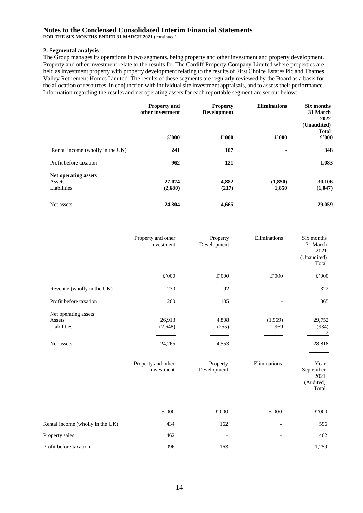### **Notes to the Condensed Consolidated Interim Financial Statements**

**FOR THE SIX MONTHS ENDED 31 MARCH 2021** (continued)

### **2. Segmental analysis**

The Group manages its operations in two segments, being property and other investment and property development. Property and other investment relate to the results for The Cardiff Property Company Limited where properties are held as investment property with property development relating to the results of First Choice Estates Plc and Thames Valley Retirement Homes Limited. The results of these segments are regularly reviewed by the Board as a basis for the allocation of resources, in conjunction with individual site investment appraisals, and to assess their performance. Information regarding the results and net operating assets for each reportable segment are set out below:

|                                               | <b>Property and</b><br>other investment | <b>Property</b><br>Development | <b>Eliminations</b> | Six months<br>31 March<br>2022<br>(Unaudited)<br><b>Total</b> |
|-----------------------------------------------|-----------------------------------------|--------------------------------|---------------------|---------------------------------------------------------------|
|                                               | £'000                                   | £'000                          | £'000               | $\pounds$ '000                                                |
| Rental income (wholly in the UK)              | 241                                     | 107                            | ٠                   | 348                                                           |
| Profit before taxation                        | 962                                     | 121                            | ٠                   | 1,083                                                         |
| Net operating assets<br>Assets<br>Liabilities | 27,074<br>(2,680)                       | 4,882<br>(217)                 | (1,850)<br>1,850    | 30,106<br>(1,047)                                             |
| Net assets                                    | 24,304                                  | 4,665                          |                     | 29,059                                                        |

|                                                             | Property and other<br>investment                                | Property<br>Development                            | Eliminations                     | Six months<br>31 March<br>2021<br>(Unaudited)<br>Total                            |
|-------------------------------------------------------------|-----------------------------------------------------------------|----------------------------------------------------|----------------------------------|-----------------------------------------------------------------------------------|
|                                                             | £'000                                                           | £'000                                              | £'000                            | £'000                                                                             |
| Revenue (wholly in the UK)                                  | 230                                                             | 92                                                 |                                  | 322                                                                               |
| Profit before taxation                                      | 260                                                             | 105                                                |                                  | 365                                                                               |
| Net operating assets<br>Assets<br>Liabilities<br>Net assets | 26,913<br>(2,648)<br>24,265<br>Property and other<br>investment | 4,808<br>(255)<br>4,553<br>Property<br>Development | (1,969)<br>1,969<br>Eliminations | 29,752<br>(934)<br>2<br>28,818<br>Year<br>September<br>2021<br>(Audited)<br>Total |
|                                                             | £'000                                                           | £'000                                              | £'000                            | £'000                                                                             |
| Rental income (wholly in the UK)                            | 434                                                             | 162                                                | $\overline{a}$                   | 596                                                                               |
| Property sales                                              | 462                                                             |                                                    |                                  | 462                                                                               |
| Profit before taxation                                      | 1,096                                                           | 163                                                |                                  | 1,259                                                                             |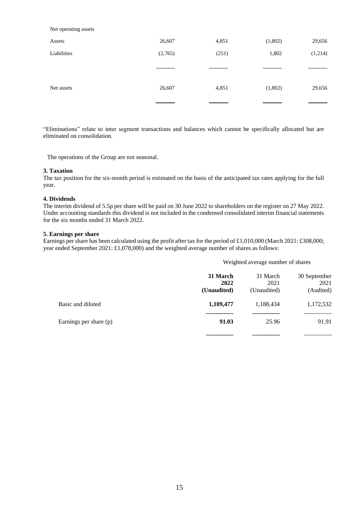Net operating assets

| Assets      | 26,607  | 4,851 | (1,802) | 29,656  |
|-------------|---------|-------|---------|---------|
| Liabilities | (2,765) | (251) | 1,802   | (1,214) |
|             |         |       |         |         |
| Net assets  | 26,607  | 4,851 | (1,802) | 29,656  |
|             |         |       |         |         |

"Eliminations" relate to inter segment transactions and balances which cannot be specifically allocated but are eliminated on consolidation.

The operations of the Group are not seasonal.

### **3. Taxation**

The tax position for the six-month period is estimated on the basis of the anticipated tax rates applying for the full year.

### **4. Dividends**

The interim dividend of 5.5p per share will be paid on 30 June 2022 to shareholders on the register on 27 May 2022. Under accounting standards this dividend is not included in the condensed consolidated interim financial statements for the six months ended 31 March 2022.

### **5. Earnings per share**

Earnings per share has been calculated using the profit after tax for the period of £1,010,000 (March 2021: £308,000; year ended September 2021: £1,078,000) and the weighted average number of shares as follows:

### Weighted average number of shares

|                        | 31 March<br>2022<br>(Unaudited) | 31 March<br>2021<br>(Unaudited) | 30 September<br>2021<br>(Audited) |
|------------------------|---------------------------------|---------------------------------|-----------------------------------|
| Basic and diluted      | 1,109,477                       | 1,188,434                       | 1,172,532                         |
| Earnings per share (p) | 91.03                           | 25.96                           | 91.91                             |
|                        |                                 |                                 |                                   |